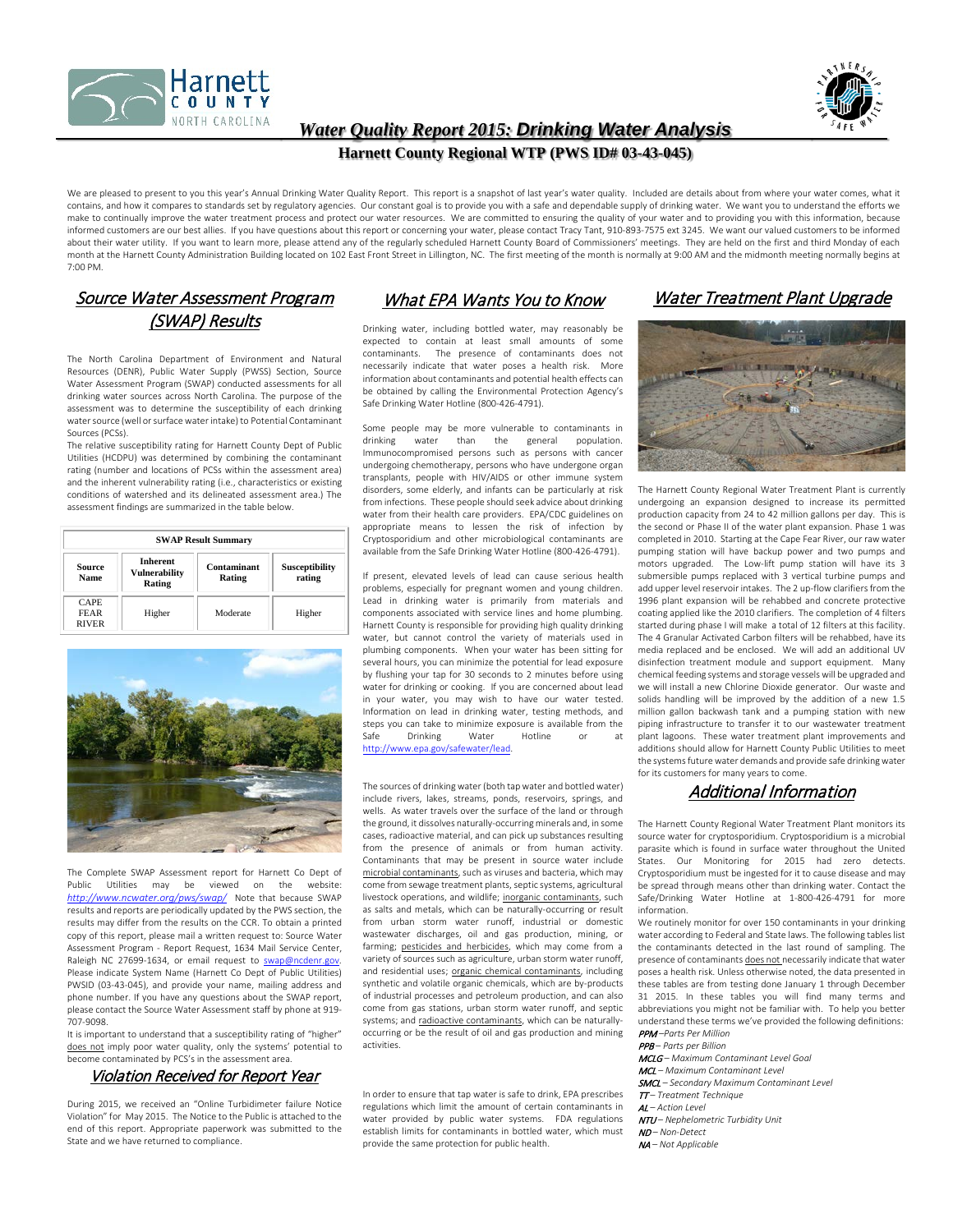



### *Water Quality Report 2015: Drinking Water Analysis*

#### **Harnett County Regional WTP (PWS ID# 03-43-045)**

We are pleased to present to you this year's Annual Drinking Water Quality Report. This report is a snapshot of last year's water quality. Included are details about from where your water comes, what it contains, and how it compares to standards set by regulatory agencies. Our constant goal is to provide you with a safe and dependable supply of drinking water. We want you to understand the efforts we make to continually improve the water treatment process and protect our water resources. We are committed to ensuring the quality of your water and to providing you with this information, because informed customers are our best allies. If you have questions about this report or concerning your water, please contact Tracy Tant, 910-893-7575 ext 3245. We want our valued customers to be informed about their water utility. If you want to learn more, please attend any of the regularly scheduled Harnett County Board of Commissioners' meetings. They are held on the first and third Monday of each month at the Harnett County Administration Building located on 102 East Front Street in Lillington, NC. The first meeting of the month is normally at 9:00 AM and the midmonth meeting normally begins at 7:00 PM.

## Source Water Assessment Program (SWAP) Results

The North Carolina Department of Environment and Natural Resources (DENR), Public Water Supply (PWSS) Section, Source Water Assessment Program (SWAP) conducted assessments for all drinking water sources across North Carolina. The purpose of the assessment was to determine the susceptibility of each drinking water source (well or surface water intake) to Potential Contaminant Sources (PCSs).

The relative susceptibility rating for Harnett County Dept of Public Utilities (HCDPU) was determined by combining the contaminant rating (number and locations of PCSs within the assessment area) and the inherent vulnerability rating (i.e., characteristics or existing conditions of watershed and its delineated assessment area.) The assessment findings are summarized in the table below.

| <b>SWAP Result Summary</b>                 |                                            |                       |                                 |  |  |  |  |  |
|--------------------------------------------|--------------------------------------------|-----------------------|---------------------------------|--|--|--|--|--|
| <b>Source</b><br><b>Name</b>               | <b>Inherent</b><br>Vulnerability<br>Rating | Contaminant<br>Rating | <b>Susceptibility</b><br>rating |  |  |  |  |  |
| <b>CAPE</b><br><b>FEAR</b><br><b>RIVER</b> | Higher                                     | Moderate              | Higher                          |  |  |  |  |  |



The Complete SWAP Assessment report for Harnett Co Dept of Public Utilities may be viewed on the website: *<http://www.ncwater.org/pws/swap/>* Note that because SWAP results and reports are periodically updated by the PWS section, the results may differ from the results on the CCR. To obtain a printed copy of this report, please mail a written request to: Source Water Assessment Program - Report Request, 1634 Mail Service Center, Raleigh NC 27699-1634, or email request to swap@ncdenr.go Please indicate System Name (Harnett Co Dept of Public Utilities) PWSID (03-43-045), and provide your name, mailing address and phone number. If you have any questions about the SWAP report, please contact the Source Water Assessment staff by phone at 919- 707-9098.

It is important to understand that a susceptibility rating of "higher" does not imply poor water quality, only the systems' potential to become contaminated by PCS's in the assessment area

#### Violation Received for Report Year

During 2015, we received an "Online Turbidimeter failure Notice Violation" for May 2015. The Notice to the Public is attached to the end of this report. Appropriate paperwork was submitted to the State and we have returned to compliance.

# What EPA Wants You to Know

Drinking water, including bottled water, may reasonably be expected to contain at least small amounts of some<br>contaminants. The presence of contaminants does not The presence of contaminants does not necessarily indicate that water poses a health risk. More information about contaminants and potential health effects can be obtained by calling the Environmental Protection Agency's Safe Drinking Water Hotline (800-426-4791).

Some people may be more vulnerable to contaminants in<br>drinking water than the general population. water than the general population. Immunocompromised persons such as persons with cancer undergoing chemotherapy, persons who have undergone organ transplants, people with HIV/AIDS or other immune system disorders, some elderly, and infants can be particularly at risk from infections. These people should seek advice about drinking water from their health care providers. EPA/CDC guidelines on appropriate means to lessen the risk of infection by Cryptosporidium and other microbiological contaminants are available from the Safe Drinking Water Hotline (800-426-4791).

If present, elevated levels of lead can cause serious health problems, especially for pregnant women and young children. Lead in drinking water is primarily from materials and components associated with service lines and home plumbing. Harnett County is responsible for providing high quality drinking water, but cannot control the variety of materials used in plumbing components. When your water has been sitting for several hours, you can minimize the potential for lead exposure by flushing your tap for 30 seconds to 2 minutes before using water for drinking or cooking. If you are concerned about lead in your water, you may wish to have our water tested. Information on lead in drinking water, testing methods, and steps you can take to minimize exposure is available from the Safe Drinking Water Hotline or [http://www.epa.gov/safewater/lead.](http://www.epa.gov/safewater/lead)

The sources of drinking water (both tap water and bottled water) include rivers, lakes, streams, ponds, reservoirs, springs, and wells. As water travels over the surface of the land or through the ground, it dissolves naturally-occurring minerals and, in some cases, radioactive material, and can pick up substances resulting from the presence of animals or from human activity. Contaminants that may be present in source water include microbial contaminants, such as viruses and bacteria, which may come from sewage treatment plants, septic systems, agricultural livestock operations, and wildlife; inorganic contaminants, such as salts and metals, which can be naturally-occurring or result from urban storm water runoff, industrial or domestic wastewater discharges, oil and gas production, mining, or farming; pesticides and herbicides, which may come from a variety of sources such as agriculture, urban storm water runoff, and residential uses; organic chemical contaminants, including synthetic and volatile organic chemicals, which are by-products of industrial processes and petroleum production, and can also come from gas stations, urban storm water runoff, and septic systems; and radioactive contaminants, which can be naturallyoccurring or be the result of oil and gas production and mining activities.

In order to ensure that tap water is safe to drink, EPA prescribes regulations which limit the amount of certain contaminants in water provided by public water systems. FDA regulations establish limits for contaminants in bottled water, which must provide the same protection for public health.

# Water Treatment Plant Upgrade



The Harnett County Regional Water Treatment Plant is currently undergoing an expansion designed to increase its permitted production capacity from 24 to 42 million gallons per day. This is the second or Phase II of the water plant expansion. Phase 1 was completed in 2010. Starting at the Cape Fear River, our raw water pumping station will have backup power and two pumps and motors upgraded. The Low-lift pump station will have its 3 submersible pumps replaced with 3 vertical turbine pumps and add upper level reservoir intakes. The 2 up-flow clarifiers from the 1996 plant expansion will be rehabbed and concrete protective coating applied like the 2010 clarifiers. The completion of 4 filters started during phase I will make a total of 12 filters at this facility. The 4 Granular Activated Carbon filters will be rehabbed, have its media replaced and be enclosed. We will add an additional UV disinfection treatment module and support equipment. Many chemical feeding systems and storage vessels will be upgraded and we will install a new Chlorine Dioxide generator. Our waste and solids handling will be improved by the addition of a new 1.5 million gallon backwash tank and a pumping station with new piping infrastructure to transfer it to our wastewater treatment plant lagoons. These water treatment plant improvements and additions should allow for Harnett County Public Utilities to meet the systems future water demands and provide safe drinking water for its customers for many years to come.

#### Additional Information

The Harnett County Regional Water Treatment Plant monitors its source water for cryptosporidium. Cryptosporidium is a microbial parasite which is found in surface water throughout the United States. Our Monitoring for 2015 had zero detects. Cryptosporidium must be ingested for it to cause disease and may be spread through means other than drinking water. Contact the Safe/Drinking Water Hotline at 1-800-426-4791 for more information.

We routinely monitor for over 150 contaminants in your drinking water according to Federal and State laws. The following tables list the contaminants detected in the last round of sampling. The presence of contaminants does not necessarily indicate that water poses a health risk. Unless otherwise noted, the data presented in these tables are from testing done January 1 through December 31 2015. In these tables you will find many terms and abbreviations you might not be familiar with. To help you better understand these terms we've provided the following definitions: PPM *–Parts Per Million*

PPB *– Parts per Billion*

- MCLG *– Maximum Contaminant Level Goal*
- MCL *– Maximum Contaminant Level*

SMCL *– Secondary Maximum Contaminant Level*

TT *– Treatment Technique*

AL *– Action Level*

- NTU *– Nephelometric Turbidity Unit*
- ND *– Non-Detect*
- NA *– Not Applicable*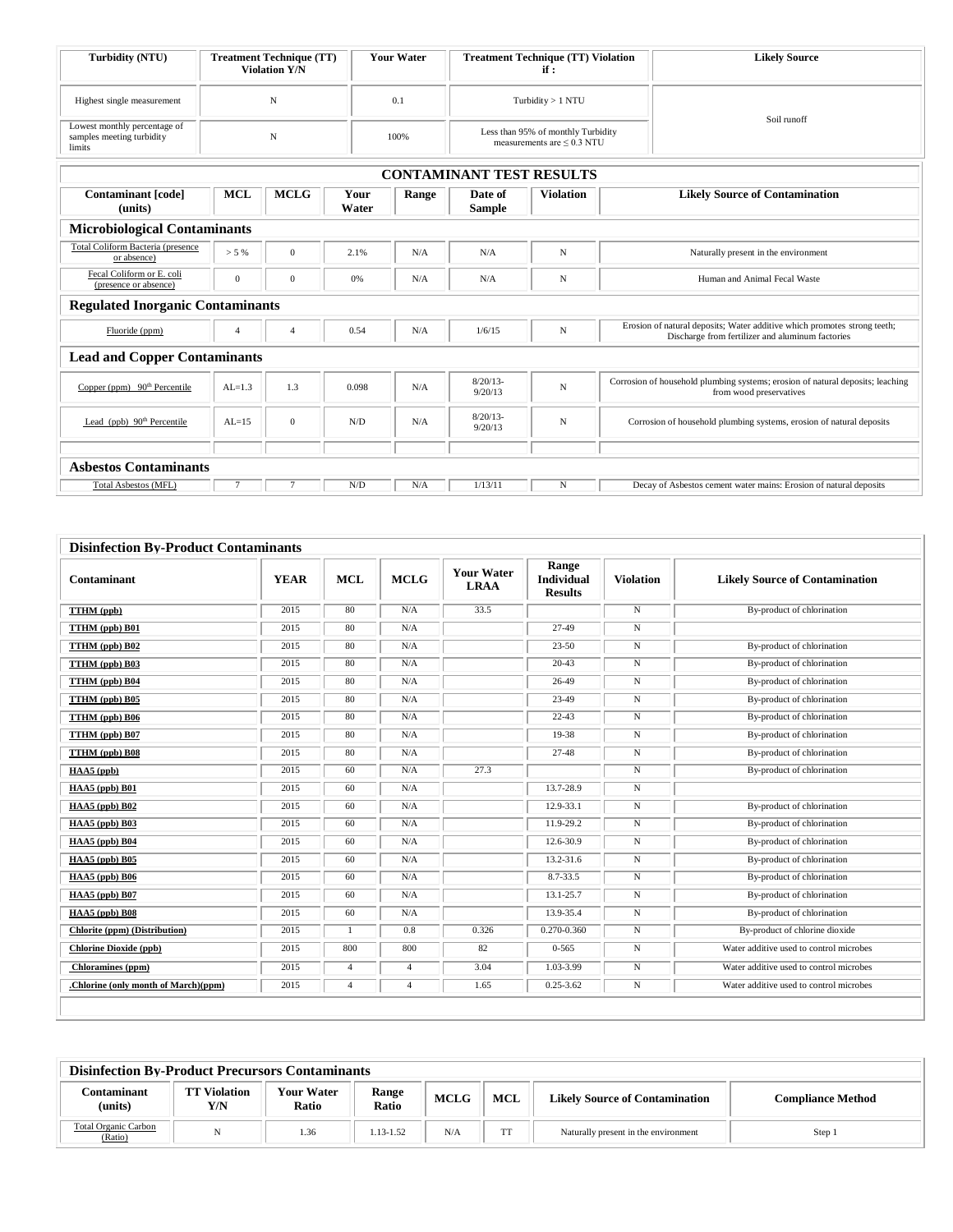| Turbidity (NTU)                                                     | <b>Treatment Technique (TT)</b><br><b>Violation Y/N</b> | <b>Your Water</b> | <b>Treatment Technique (TT) Violation</b><br>if:                      | <b>Likely Source</b> |
|---------------------------------------------------------------------|---------------------------------------------------------|-------------------|-----------------------------------------------------------------------|----------------------|
| Highest single measurement                                          |                                                         | 0.1               | Turbidity $> 1$ NTU                                                   | Soil runoff          |
| Lowest monthly percentage of<br>samples meeting turbidity<br>limits |                                                         | 100%              | Less than 95% of monthly Turbidity<br>measurements are $\leq$ 0.3 NTU |                      |

|                                                    | <b>CONTAMINANT TEST RESULTS</b> |                |               |       |                        |                  |                                                                                                                              |  |  |  |  |  |
|----------------------------------------------------|---------------------------------|----------------|---------------|-------|------------------------|------------------|------------------------------------------------------------------------------------------------------------------------------|--|--|--|--|--|
| <b>Contaminant</b> [code]<br>(units)               | <b>MCL</b>                      | <b>MCLG</b>    | Your<br>Water | Range | Date of<br>Sample      | <b>Violation</b> | <b>Likely Source of Contamination</b>                                                                                        |  |  |  |  |  |
| <b>Microbiological Contaminants</b>                |                                 |                |               |       |                        |                  |                                                                                                                              |  |  |  |  |  |
| Total Coliform Bacteria (presence<br>or absence)   | $> 5\%$                         | $\mathbf{0}$   | 2.1%          | N/A   | N/A                    | N                | Naturally present in the environment                                                                                         |  |  |  |  |  |
| Fecal Coliform or E. coli<br>(presence or absence) | $\mathbf{0}$                    | $\mathbf{0}$   | 0%            | N/A   | N/A                    | N                | Human and Animal Fecal Waste                                                                                                 |  |  |  |  |  |
| <b>Regulated Inorganic Contaminants</b>            |                                 |                |               |       |                        |                  |                                                                                                                              |  |  |  |  |  |
| Fluoride (ppm)                                     | $\overline{4}$                  | $\overline{4}$ | 0.54          | N/A   | 1/6/15                 | N                | Erosion of natural deposits; Water additive which promotes strong teeth;<br>Discharge from fertilizer and aluminum factories |  |  |  |  |  |
| <b>Lead and Copper Contaminants</b>                |                                 |                |               |       |                        |                  |                                                                                                                              |  |  |  |  |  |
| Copper (ppm) 90 <sup>th</sup> Percentile           | $AL=1.3$                        | 1.3            | 0.098         | N/A   | $8/20/13$ -<br>9/20/13 | N                | Corrosion of household plumbing systems; erosion of natural deposits; leaching<br>from wood preservatives                    |  |  |  |  |  |
| Lead (ppb) $90th$ Percentile                       | $AL=15$                         | $\mathbf{0}$   | N/D           | N/A   | $8/20/13$ -<br>9/20/13 | $\mathbf N$      | Corrosion of household plumbing systems, erosion of natural deposits                                                         |  |  |  |  |  |
|                                                    |                                 |                |               |       |                        |                  |                                                                                                                              |  |  |  |  |  |
| <b>Asbestos Contaminants</b>                       |                                 |                |               |       |                        |                  |                                                                                                                              |  |  |  |  |  |
| <b>Total Asbestos (MFL)</b>                        | $\overline{7}$                  | $\overline{7}$ | N/D           | N/A   | 1/13/11                | N                | Decay of Asbestos cement water mains: Erosion of natural deposits                                                            |  |  |  |  |  |

| <b>Disinfection By-Product Contaminants</b> |             |                |                |                                  |                                       |                  |                                         |  |  |  |
|---------------------------------------------|-------------|----------------|----------------|----------------------------------|---------------------------------------|------------------|-----------------------------------------|--|--|--|
| Contaminant                                 | <b>YEAR</b> | <b>MCL</b>     | <b>MCLG</b>    | <b>Your Water</b><br><b>LRAA</b> | Range<br>Individual<br><b>Results</b> | <b>Violation</b> | <b>Likely Source of Contamination</b>   |  |  |  |
| TTHM (ppb)                                  | 2015        | 80             | N/A            | 33.5                             |                                       | $\mathbf N$      | By-product of chlorination              |  |  |  |
| TTHM (ppb) B01                              | 2015        | 80             | N/A            |                                  | $27-49$                               | $\mathbf N$      |                                         |  |  |  |
| TTHM (ppb) B02                              | 2015        | 80             | N/A            |                                  | $23 - 50$                             | N                | By-product of chlorination              |  |  |  |
| TTHM (ppb) B03                              | 2015        | 80             | N/A            |                                  | $20 - 43$                             | $\mathbf N$      | By-product of chlorination              |  |  |  |
| TTHM (ppb) B04                              | 2015        | 80             | N/A            |                                  | 26-49                                 | N                | By-product of chlorination              |  |  |  |
| TTHM (ppb) B05                              | 2015        | 80             | N/A            |                                  | 23-49                                 | N                | By-product of chlorination              |  |  |  |
| TTHM (ppb) B06                              | 2015        | 80             | N/A            |                                  | $22 - 43$                             | N                | By-product of chlorination              |  |  |  |
| TTHM (ppb) B07                              | 2015        | 80             | N/A            |                                  | 19-38                                 | N                | By-product of chlorination              |  |  |  |
| TTHM (ppb) B08                              | 2015        | 80             | N/A            |                                  | $27 - 48$                             | N                | By-product of chlorination              |  |  |  |
| HAA5 (ppb)                                  | 2015        | 60             | N/A            | 27.3                             |                                       | N                | By-product of chlorination              |  |  |  |
| HAA5 (ppb) B01                              | 2015        | 60             | N/A            |                                  | 13.7-28.9                             | N                |                                         |  |  |  |
| HAA5 (ppb) B02                              | 2015        | 60             | N/A            |                                  | 12.9-33.1                             | $\mathbf N$      | By-product of chlorination              |  |  |  |
| HAA5 (ppb) B03                              | 2015        | 60             | N/A            |                                  | 11.9-29.2                             | N                | By-product of chlorination              |  |  |  |
| HAA5 (ppb) B04                              | 2015        | 60             | N/A            |                                  | 12.6-30.9                             | N                | By-product of chlorination              |  |  |  |
| HAA5 (ppb) B05                              | 2015        | 60             | N/A            |                                  | $13.2 - 31.6$                         | N                | By-product of chlorination              |  |  |  |
| HAA5 (ppb) B06                              | 2015        | 60             | N/A            |                                  | 8.7-33.5                              | N                | By-product of chlorination              |  |  |  |
| HAA5 (ppb) B07                              | 2015        | 60             | N/A            |                                  | 13.1-25.7                             | N                | By-product of chlorination              |  |  |  |
| HAA5 (ppb) B08                              | 2015        | 60             | N/A            |                                  | 13.9-35.4                             | N                | By-product of chlorination              |  |  |  |
| Chlorite (ppm) (Distribution)               | 2015        | $\mathbf{1}$   | 0.8            | 0.326                            | 0.270-0.360                           | N                | By-product of chlorine dioxide          |  |  |  |
| <b>Chlorine Dioxide (ppb)</b>               | 2015        | 800            | 800            | 82                               | $0 - 565$                             | $\mathbf N$      | Water additive used to control microbes |  |  |  |
| <b>Chloramines</b> (ppm)                    | 2015        | $\overline{4}$ | $\overline{4}$ | 3.04                             | 1.03-3.99                             | $_{\rm N}$       | Water additive used to control microbes |  |  |  |
| .Chlorine (only month of March)(ppm)        | 2015        | 4              | $\overline{4}$ | 1.65                             | $0.25 - 3.62$                         | N                | Water additive used to control microbes |  |  |  |
|                                             |             |                |                |                                  |                                       |                  |                                         |  |  |  |

| <b>Disinfection By-Product Precursors Contaminants</b> |                    |                            |                |             |     |                                       |                          |  |  |  |  |
|--------------------------------------------------------|--------------------|----------------------------|----------------|-------------|-----|---------------------------------------|--------------------------|--|--|--|--|
| Contaminant<br>(units)                                 | ' Violation<br>Y/N | <b>Your Water</b><br>Ratio | Range<br>Ratio | <b>MCLG</b> | MCL | <b>Likely Source of Contamination</b> | <b>Compliance Method</b> |  |  |  |  |
| <b>Total Organic Carbon</b><br>(Ratio)                 |                    | 1.36                       | 1.13-1.52      | N/A         | mm  | Naturally present in the environment  | Step 1                   |  |  |  |  |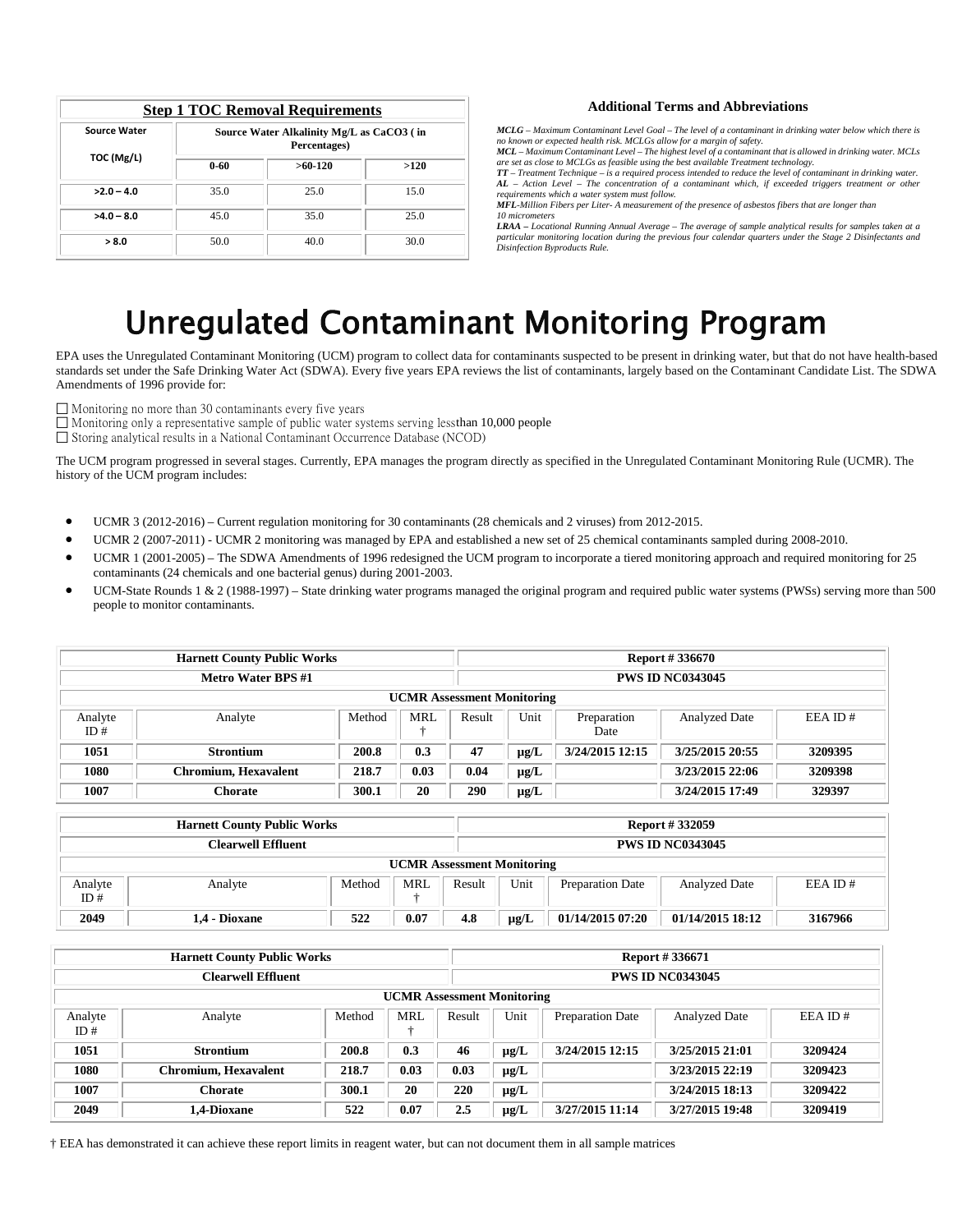|                     | <b>Step 1 TOC Removal Requirements</b>                    |           |      |  |  |  |  |  |  |  |
|---------------------|-----------------------------------------------------------|-----------|------|--|--|--|--|--|--|--|
| <b>Source Water</b> | Source Water Alkalinity Mg/L as CaCO3 (in<br>Percentages) |           |      |  |  |  |  |  |  |  |
| TOC (Mg/L)          | $0 - 60$                                                  | $>60-120$ | >120 |  |  |  |  |  |  |  |
| $>2.0 - 4.0$        | 35.0                                                      | 25.0      | 15.0 |  |  |  |  |  |  |  |
| $>4.0 - 8.0$        | 45.0                                                      | 35.0      | 25.0 |  |  |  |  |  |  |  |
| > 8.0               | 50.0                                                      | 40.0      | 30.0 |  |  |  |  |  |  |  |

#### **Additional Terms and Abbreviations**

*MCLG – Maximum Contaminant Level Goal – The level of a contaminant in drinking water below which there is no known or expected health risk. MCLGs allow for a margin of safety.*

*MCL – Maximum Contaminant Level – The highest level of a contaminant that is allowed in drinking water. MCLs* 

are set as close to MCLGs as feasible using the best available Treatment technology.<br>**TT** – Treatment Technique – is a required process intended to reduce the level of contaminant in drinking water.<br>AL – Action Level – The

*MFL-Million Fibers per Liter- A measurement of the presence of asbestos fibers that are longer than 10 micrometers*

*LRAA – Locational Running Annual Average – The average of sample analytical results for samples taken at a particular monitoring location during the previous four calendar quarters under the Stage 2 Disinfectants and Disinfection Byproducts Rule.*

# Unregulated Contaminant Monitoring Program

EPA uses the Unregulated Contaminant Monitoring (UCM) program to collect data for contaminants suspected to be present in drinking water, but that do not have health-based standards set under the Safe Drinking Water Act (SDWA). Every five years EPA reviews the list of contaminants, largely based on the Contaminant Candidate List. The SDWA Amendments of 1996 provide for:

 $\Box$  Monitoring no more than 30 contaminants every five years

 $\Box$  Monitoring only a representative sample of public water systems serving less than 10,000 people

 $\square$  Storing analytical results in a National Contaminant Occurrence Database (NCOD)

The UCM program progressed in several stages. Currently, EPA manages the program directly as specified in the Unregulated Contaminant Monitoring Rule (UCMR). The history of the UCM program includes:

- [UCMR 3 \(2012-2016\)](http://water.epa.gov/lawsregs/rulesregs/sdwa/ucmr/ucmr3/index.cfm) Current regulation monitoring for 30 contaminants (28 chemicals and 2 viruses) from 2012-2015.
- [UCMR 2 \(2007-2011\)](http://water.epa.gov/lawsregs/rulesregs/sdwa/ucmr/ucmr2/index.cfm) UCMR 2 monitoring was managed by EPA and established a new set of 25 chemical contaminants sampled during 2008-2010.
- [UCMR 1 \(2001-2005\)](http://water.epa.gov/lawsregs/rulesregs/sdwa/ucmr/ucmr1/index.cfm) The SDWA Amendments of 1996 redesigned the UCM program to incorporate a tiered monitoring approach and required monitoring for 25 contaminants (24 chemicals and one bacterial genus) during 2001-2003.
- [UCM-State Rounds 1 & 2 \(1988-1997\)](http://water.epa.gov/lawsregs/rulesregs/sdwa/ucmr/ucm_rounds_1-2.cfm) State drinking water programs managed the original program and required public water systems (PWSs) serving more than 500 people to monitor contaminants.

| <b>Harnett County Public Works</b> |                             |        |            |        | <b>Report #336670</b>   |                     |                      |              |  |  |
|------------------------------------|-----------------------------|--------|------------|--------|-------------------------|---------------------|----------------------|--------------|--|--|
| <b>Metro Water BPS #1</b>          |                             |        |            |        | <b>PWS ID NC0343045</b> |                     |                      |              |  |  |
| <b>UCMR</b> Assessment Monitoring  |                             |        |            |        |                         |                     |                      |              |  |  |
| Analyte<br>ID#                     | Analyte                     | Method | MRI.<br>J. | Result | Unit                    | Preparation<br>Date | <b>Analyzed Date</b> | $EEA$ ID $#$ |  |  |
| 1051                               | <b>Strontium</b>            | 200.8  | 0.3        | 47     | $\mu$ g/L               | 3/24/2015 12:15     | 3/25/2015 20:55      | 3209395      |  |  |
| 1080                               | <b>Chromium, Hexavalent</b> | 218.7  | 0.03       | 0.04   | $\mu$ g/L               |                     | 3/23/2015 22:06      | 3209398      |  |  |
| 1007                               | Chorate                     | 300.1  | 20         | 290    | $\mu$ g/L               |                     | 3/24/2015 17:49      | 329397       |  |  |

| <b>Harnett County Public Works</b>               |               |     |                                   |      |                  |                      | <b>Report #332059</b>   |         |
|--------------------------------------------------|---------------|-----|-----------------------------------|------|------------------|----------------------|-------------------------|---------|
| <b>Clearwell Effluent</b>                        |               |     |                                   |      |                  |                      | <b>PWS ID NC0343045</b> |         |
|                                                  |               |     | <b>UCMR</b> Assessment Monitoring |      |                  |                      |                         |         |
| MRL<br>Analyte<br>Method<br>Analyte<br>ID#<br>-- |               |     | Result                            | Unit | Preparation Date | <b>Analyzed Date</b> | $EEA$ ID $#$            |         |
| 2049                                             | 1.4 - Dioxane | 522 | 0.07                              | 4.8  | $\mu$ g/L        | 01/14/2015 07:20     | 01/14/2015 18:12        | 3167966 |

| <b>Harnett County Public Works</b> |                      |        |           |                                   | <b>Report #336671</b> |                         |                         |              |  |
|------------------------------------|----------------------|--------|-----------|-----------------------------------|-----------------------|-------------------------|-------------------------|--------------|--|
| <b>Clearwell Effluent</b>          |                      |        |           |                                   |                       |                         | <b>PWS ID NC0343045</b> |              |  |
|                                    |                      |        |           | <b>UCMR</b> Assessment Monitoring |                       |                         |                         |              |  |
| Analyte<br>ID#                     | Analyte              | Method | MRL<br>a, | Result                            | Unit                  | <b>Preparation Date</b> | <b>Analyzed Date</b>    | $EEA$ ID $#$ |  |
| 1051                               | <b>Strontium</b>     | 200.8  | 0.3       | 46                                | $\mu$ g/L             | 3/24/2015 12:15         | 3/25/2015 21:01         | 3209424      |  |
| 1080                               | Chromium, Hexavalent | 218.7  | 0.03      | 0.03                              | $\mu$ g/L             |                         | 3/23/2015 22:19         | 3209423      |  |
| 1007                               | <b>Chorate</b>       | 300.1  | 20        | 220                               | $\mu$ g/L             |                         | 3/24/2015 18:13         | 3209422      |  |
| 2049                               | 1,4-Dioxane          | 522    | 0.07      | 2.5                               | $\mu$ g/L             | 3/27/2015 11:14         | 3/27/2015 19:48         | 3209419      |  |

† EEA has demonstrated it can achieve these report limits in reagent water, but can not document them in all sample matrices